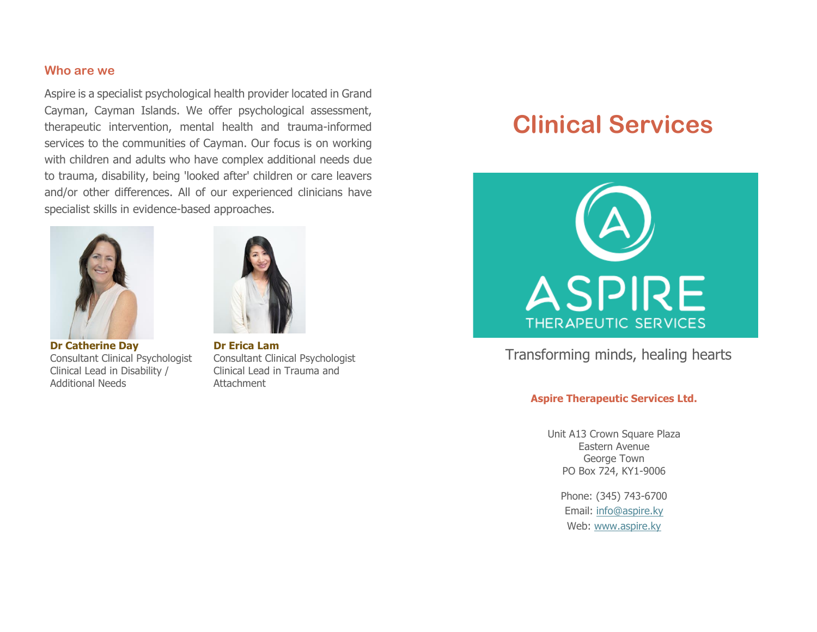#### **Who are we**

Aspire is a specialist psychological health provider located in Grand Cayman, Cayman Islands. We offer psychological assessment, therapeutic intervention, mental health and trauma-informed services to the communities of Cayman. Our focus is on working with children and adults who have complex additional needs due to trauma, disability, being 'looked after' children or care leavers and/or other differences. All of our experienced clinicians have specialist skills in evidence-based approaches.



**Dr Catherine Day**  Consultant Clinical Psychologist Clinical Lead in Disability / Additional Needs



**Dr Erica Lam**  Consultant Clinical Psychologist Clinical Lead in Trauma and Attachment

# **Clinical Services**



# Transforming minds, healing hearts

#### **Aspire Therapeutic Services Ltd.**

Unit A13 Crown Square Plaza Eastern Avenue George Town PO Box 724, KY1-9006

> Phone: (345) 743-6700 Email: [info@aspire.ky](mailto:info@aspire.ky) Web: [www.aspire.ky](http://www.aspire.ky/)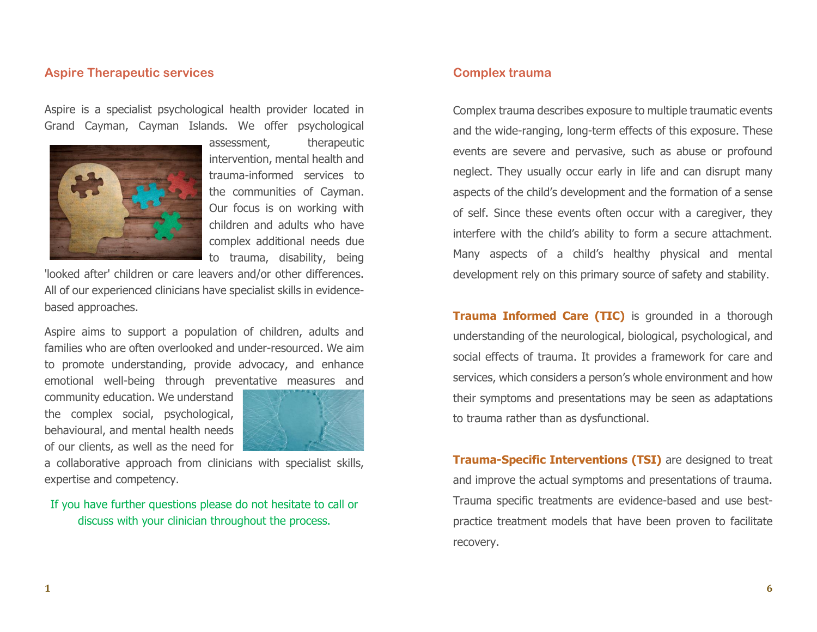#### **Aspire Therapeutic services**

Aspire is a specialist psychological health provider located in Grand Cayman, Cayman Islands. We offer psychological



assessment, therapeutic intervention, mental health and trauma-informed services to the communities of Cayman. Our focus is on working with children and adults who have complex additional needs due to trauma, disability, being

'looked after' children or care leavers and/or other differences. All of our experienced clinicians have specialist skills in evidencebased approaches.

Aspire aims to support a population of children, adults and families who are often overlooked and under-resourced. We aim to promote understanding, provide advocacy, and enhance emotional well-being through preventative measures and

community education. We understand the complex social, psychological, behavioural, and mental health needs of our clients, as well as the need for



a collaborative approach from clinicians with specialist skills, expertise and competency.

If you have further questions please do not hesitate to call or discuss with your clinician throughout the process.

## **Complex trauma**

Complex trauma describes exposure to multiple traumatic events and the wide-ranging, long-term effects of this exposure. These events are severe and pervasive, such as abuse or profound neglect. They usually occur early in life and can disrupt many aspects of the child's development and the formation of a sense of self. Since these events often occur with a caregiver, they interfere with the child's ability to form a secure attachment. Many aspects of a child's healthy physical and mental development rely on this primary source of safety and stability.

**Trauma Informed Care (TIC)** is grounded in a thorough understanding of the neurological, biological, psychological, and social effects of trauma. It provides a framework for care and services, which considers a person's whole environment and how their symptoms and presentations may be seen as adaptations to trauma rather than as dysfunctional.

**Trauma-Specific Interventions (TSI)** are designed to treat and improve the actual symptoms and presentations of trauma. Trauma specific treatments are evidence-based and use bestpractice treatment models that have been proven to facilitate recovery.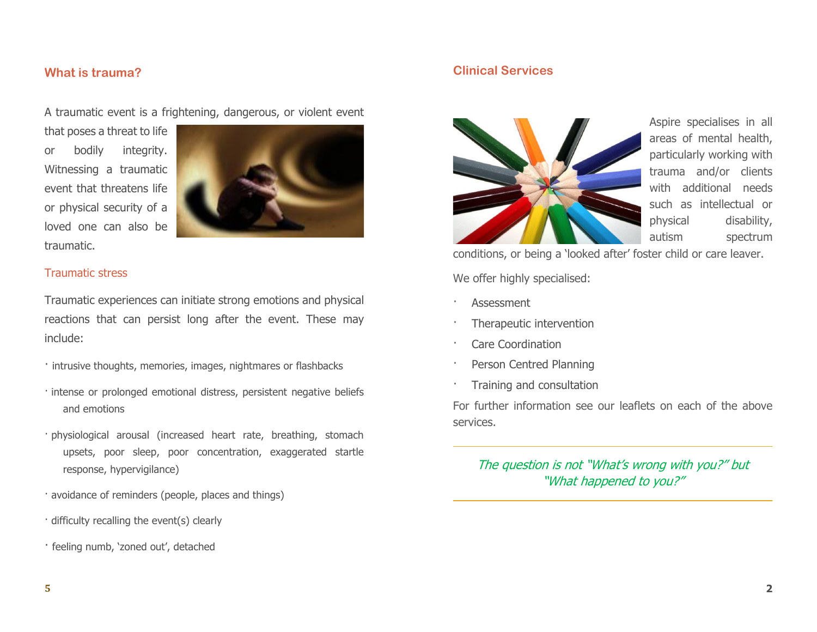#### **What is trauma?**

A traumatic event is a frightening, dangerous, or violent event

that poses a threat to life or bodily integrity. Witnessing a traumatic event that threatens life or physical security of a loved one can also be traumatic.



#### Traumatic stress

Traumatic experiences can initiate strong emotions and physical reactions that can persist long after the event. These may include:

- · intrusive thoughts, memories, images, nightmares or flashbacks
- · intense or prolonged emotional distress, persistent negative beliefs and emotions
- · physiological arousal (increased heart rate, breathing, stomach upsets, poor sleep, poor concentration, exaggerated startle response, hypervigilance)
- · avoidance of reminders (people, places and things)
- · difficulty recalling the event(s) clearly
- · feeling numb, 'zoned out', detached

## **Clinical Services**



Aspire specialises in all areas of mental health, particularly working with trauma and/or clients with additional needs such as intellectual or physical disability, autism spectrum

conditions, or being a 'looked after' foster child or care leaver.

We offer highly specialised:

- **Assessment**
- Therapeutic intervention
- Care Coordination
- Person Centred Planning
- · Training and consultation

For further information see our leaflets on each of the above services.

## The question is not "What's wrong with you?" but "What happened to you?"